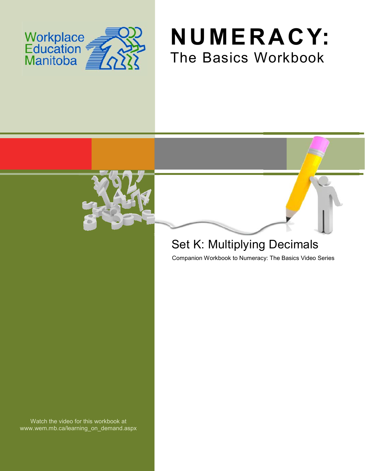





## Set K: Multiplying Decimals

Companion Workbook to Numeracy: The Basics Video Series

Watch the video for this workbook at www.wem.mb.ca/learning\_on\_demand.aspx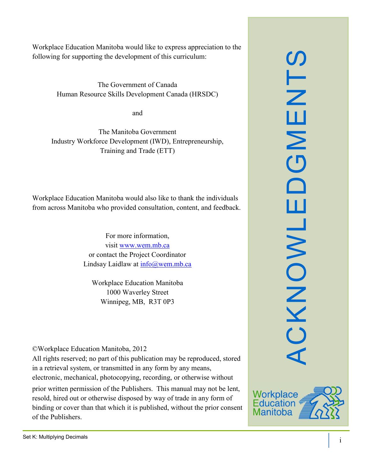Workplace Education Manitoba would like to express appreciation to the following for supporting the development of this curriculum:

> The Government of Canada Human Resource Skills Development Canada (HRSDC)

> > and

The Manitoba Government Industry Workforce Development (IWD), Entrepreneurship, Training and Trade (ETT)

Workplace Education Manitoba would also like to thank the individuals from across Manitoba who provided consultation, content, and feedback.

> For more information, visit [www.wem.mb.ca](http://www.wem.mb.ca/) or contact the Project Coordinator Lindsay Laidlaw at [info@wem.mb.ca](mailto:info@wem.mb.ca)

Workplace Education Manitoba 1000 Waverley Street Winnipeg, MB, R3T 0P3

©Workplace Education Manitoba, 2012

All rights reserved; no part of this publication may be reproduced, stored in a retrieval system, or transmitted in any form by any means, electronic, mechanical, photocopying, recording, or otherwise without

prior written permission of the Publishers. This manual may not be lent, resold, hired out or otherwise disposed by way of trade in any form of binding or cover than that which it is published, without the prior consent of the Publishers.



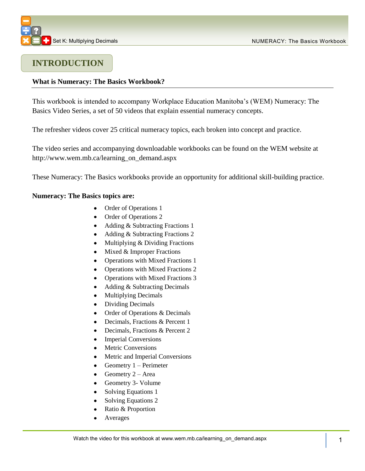

## **INTRODUCTION**

### **What is Numeracy: The Basics Workbook?**

This workbook is intended to accompany Workplace Education Manitoba's (WEM) Numeracy: The Basics Video Series, a set of 50 videos that explain essential numeracy concepts.

The refresher videos cover 25 critical numeracy topics, each broken into concept and practice.

The video series and accompanying downloadable workbooks can be found on the WEM website at [http://www.wem.mb.ca/learning\\_on\\_demand.aspx](http://www.wem.mb.ca/learning_on_demand.aspx)

These Numeracy: The Basics workbooks provide an opportunity for additional skill-building practice.

#### **Numeracy: The Basics topics are:**

- Order of Operations 1
- Order of Operations 2
- Adding & Subtracting Fractions 1
- Adding & Subtracting Fractions 2
- Multiplying & Dividing Fractions  $\bullet$
- Mixed & Improper Fractions  $\bullet$
- Operations with Mixed Fractions 1  $\bullet$
- Operations with Mixed Fractions 2
- Operations with Mixed Fractions 3  $\bullet$
- $\bullet$ Adding & Subtracting Decimals
- Multiplying Decimals  $\bullet$
- Dividing Decimals  $\bullet$
- Order of Operations & Decimals  $\bullet$
- Decimals, Fractions & Percent 1  $\bullet$
- Decimals, Fractions & Percent 2  $\bullet$
- Imperial Conversions
- Metric Conversions
- Metric and Imperial Conversions
- Geometry 1 Perimeter  $\bullet$
- Geometry 2 Area  $\bullet$
- Geometry 3- Volume
- Solving Equations 1
- $\bullet$ Solving Equations 2
- Ratio & Proportion  $\bullet$
- Averages  $\bullet$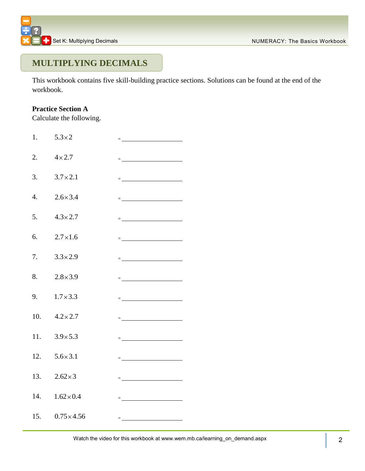

## **MULTIPLYING DECIMALS**

This workbook contains five skill-building practice sections. Solutions can be found at the end of the workbook.

## **Practice Section A**

Calculate the following.

| 1.               | $5.3\times2$          | = <u>________________________</u>                                                                                                                                                                                                                                                                                                                                                                                                                                                                                                                                            |  |
|------------------|-----------------------|------------------------------------------------------------------------------------------------------------------------------------------------------------------------------------------------------------------------------------------------------------------------------------------------------------------------------------------------------------------------------------------------------------------------------------------------------------------------------------------------------------------------------------------------------------------------------|--|
| 2.               | $4 \times 2.7$        | $\equiv$ 100 km s and 100 km s and 100 km s $\sim$                                                                                                                                                                                                                                                                                                                                                                                                                                                                                                                           |  |
| 3.               | $3.7 \times 2.1$      | $\equiv$ 100 minutes of the contract of the contract of the contract of the contract of the contract of the contract of the contract of the contract of the contract of the contract of the contract of the contract of the contr                                                                                                                                                                                                                                                                                                                                            |  |
| $\overline{4}$ . | $2.6 \times 3.4$      | $\equiv$ 100 minutes of the contract of the contract of the contract of the contract of the contract of the contract of the contract of the contract of the contract of the contract of the contract of the contract of the contr                                                                                                                                                                                                                                                                                                                                            |  |
| 5.               | $4.3 \times 2.7$      | $\equiv$ . The contract of the contract of the contract of $\mathcal{L}_\text{max}$                                                                                                                                                                                                                                                                                                                                                                                                                                                                                          |  |
| 6.               | $2.7 \times 1.6$      | = <u>_____________________</u>                                                                                                                                                                                                                                                                                                                                                                                                                                                                                                                                               |  |
| 7.               | $3.3 \times 2.9$      | = <u>_________________________</u>                                                                                                                                                                                                                                                                                                                                                                                                                                                                                                                                           |  |
| 8.               | $2.8 \times 3.9$      | $=\underbrace{\qquad \qquad }_{\qquad \qquad }=\underbrace{\qquad \qquad }_{\qquad \qquad }=\underbrace{\qquad \qquad }_{\qquad \qquad }=\underbrace{\qquad \qquad }_{\qquad \qquad }=\underbrace{\qquad \qquad }_{\qquad \qquad }=\underbrace{\qquad \qquad }_{\qquad \qquad }=\underbrace{\qquad \qquad }_{\qquad \qquad }=\underbrace{\qquad \qquad }_{\qquad \qquad }=\underbrace{\qquad \qquad }_{\qquad \qquad }=\underbrace{\qquad \qquad }_{\qquad \qquad }=\underbrace{\qquad \qquad }_{\qquad \qquad }=\underbrace{\qquad \qquad }_{\qquad \qquad }=\underbrace{\$ |  |
|                  | 9. $1.7 \times 3.3$   | $=$ <u>________________________</u>                                                                                                                                                                                                                                                                                                                                                                                                                                                                                                                                          |  |
| 10.              | $4.2 \times 2.7$      | $\equiv$ 100 km s and 100 km s and 100 km s $\sim$                                                                                                                                                                                                                                                                                                                                                                                                                                                                                                                           |  |
| 11.              | $3.9 \times 5.3$      | <u> = __________________________</u>                                                                                                                                                                                                                                                                                                                                                                                                                                                                                                                                         |  |
| 12.              | $5.6 \times 3.1$      | = <u>____________________</u>                                                                                                                                                                                                                                                                                                                                                                                                                                                                                                                                                |  |
| 13.              | $2.62\times3$         | <u> = __________________________</u>                                                                                                                                                                                                                                                                                                                                                                                                                                                                                                                                         |  |
|                  | 14. $1.62 \times 0.4$ | man and the contract of the contract of                                                                                                                                                                                                                                                                                                                                                                                                                                                                                                                                      |  |
| 15.              | $0.75 \times 4.56$    | $\equiv$ 100 $\pm$ 100 $\pm$                                                                                                                                                                                                                                                                                                                                                                                                                                                                                                                                                 |  |
|                  |                       |                                                                                                                                                                                                                                                                                                                                                                                                                                                                                                                                                                              |  |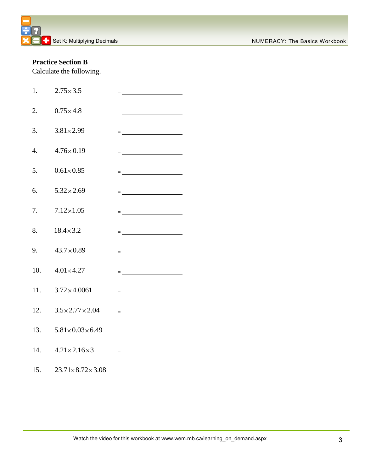## **Practice Section B**

Calculate the following.

| 1.               | $2.75 \times 3.5$                   | $=\underbrace{\qquad \qquad }_{\qquad \qquad \qquad }\qquad \qquad ~~\qquad \qquad ~~\qquad \qquad ~~\qquad \qquad ~~\qquad \qquad ~~\qquad \qquad ~~\qquad \qquad ~~\qquad \qquad ~~\qquad \qquad ~~\qquad \qquad ~~\qquad \qquad ~~\qquad \qquad ~~\qquad \qquad ~~\qquad \qquad ~~\qquad \qquad ~~\qquad \qquad ~~\qquad \qquad ~~\qquad \qquad ~~\qquad \qquad ~~\qquad \qquad ~~\qquad \qquad ~~\qquad \qquad ~~\qquad \qquad ~~\qquad \qquad ~~\qquad \qquad ~~\qquad \qquad ~~\qquad \qquad ~~\qquad \qquad ~~\qquad \$                                               |
|------------------|-------------------------------------|------------------------------------------------------------------------------------------------------------------------------------------------------------------------------------------------------------------------------------------------------------------------------------------------------------------------------------------------------------------------------------------------------------------------------------------------------------------------------------------------------------------------------------------------------------------------------|
| 2.               | $0.75 \times 4.8$                   | $=\underbrace{\qquad \qquad }_{\qquad \qquad }=\underbrace{\qquad \qquad }_{\qquad \qquad }=\underbrace{\qquad \qquad }_{\qquad \qquad }=\underbrace{\qquad \qquad }_{\qquad \qquad }=\underbrace{\qquad \qquad }_{\qquad \qquad }=\underbrace{\qquad \qquad }_{\qquad \qquad }=\underbrace{\qquad \qquad }_{\qquad \qquad }=\underbrace{\qquad \qquad }_{\qquad \qquad }=\underbrace{\qquad \qquad }_{\qquad \qquad }=\underbrace{\qquad \qquad }_{\qquad \qquad }=\underbrace{\qquad \qquad }_{\qquad \qquad }=\underbrace{\qquad \qquad }_{\qquad \qquad }=\underbrace{\$ |
| 3.               | $3.81 \times 2.99$                  | = <u>______________________</u>                                                                                                                                                                                                                                                                                                                                                                                                                                                                                                                                              |
| $\overline{4}$ . | $4.76 \times 0.19$                  | $=\underbrace{\qquad \qquad }_{\qquad \qquad }=\underbrace{\qquad \qquad }_{\qquad \qquad }=\underbrace{\qquad \qquad }_{\qquad \qquad }=\underbrace{\qquad \qquad }_{\qquad \qquad }=\underbrace{\qquad \qquad }_{\qquad \qquad }=\underbrace{\qquad \qquad }_{\qquad \qquad }=\underbrace{\qquad \qquad }_{\qquad \qquad }=\underbrace{\qquad \qquad }_{\qquad \qquad }=\underbrace{\qquad \qquad }_{\qquad \qquad }=\underbrace{\qquad \qquad }_{\qquad \qquad }=\underbrace{\qquad \qquad }_{\qquad \qquad }=\underbrace{\qquad \qquad }_{\qquad \qquad }=\underbrace{\$ |
| 5.               | $0.61 \times 0.85$                  | $=$ <u>_ _ _ _ _ _ _ _ _ _</u>                                                                                                                                                                                                                                                                                                                                                                                                                                                                                                                                               |
| 6.               | $5.32 \times 2.69$                  | $=$ <u>______________________</u>                                                                                                                                                                                                                                                                                                                                                                                                                                                                                                                                            |
| 7.               | $7.12\times1.05$                    | $=\underbrace{\qquad \qquad }_{\qquad \qquad }=\underbrace{\qquad \qquad }_{\qquad \qquad }+\underbrace{\qquad \qquad }_{\qquad \qquad }+\underbrace{\qquad \qquad }_{\qquad \qquad }+\underbrace{\qquad \qquad }_{\qquad \qquad }+\underbrace{\qquad \qquad }_{\qquad \qquad }+\underbrace{\qquad \qquad }_{\qquad \qquad }+\underbrace{\qquad \qquad }_{\qquad \qquad }+\underbrace{\qquad \qquad }_{\qquad \qquad }+\underbrace{\qquad \qquad }_{\qquad \qquad }+\underbrace{\qquad \qquad }_{\qquad \qquad }+\underbrace{\qquad \qquad }_{\qquad \qquad }+\underbrace{\$ |
| 8.               | $18.4 \times 3.2$                   | = <u>_________________________</u>                                                                                                                                                                                                                                                                                                                                                                                                                                                                                                                                           |
| 9.               | $43.7 \times 0.89$                  | $=\underbrace{\qquad \qquad }_{\qquad \qquad }=\underbrace{\qquad \qquad }_{\qquad \qquad }=\underbrace{\qquad \qquad }_{\qquad \qquad }=\underbrace{\qquad \qquad }_{\qquad \qquad }=\underbrace{\qquad \qquad }_{\qquad \qquad }=\underbrace{\qquad \qquad }_{\qquad \qquad }=\underbrace{\qquad \qquad }_{\qquad \qquad }=\underbrace{\qquad \qquad }_{\qquad \qquad }=\underbrace{\qquad \qquad }_{\qquad \qquad }=\underbrace{\qquad \qquad }_{\qquad \qquad }=\underbrace{\qquad \qquad }_{\qquad \qquad }=\underbrace{\qquad \qquad }_{\qquad \qquad }=\underbrace{\$ |
| 10.              | $4.01 \times 4.27$                  | = <u>______________________</u>                                                                                                                                                                                                                                                                                                                                                                                                                                                                                                                                              |
| 11.              | $3.72 \times 4.0061$                | $=\underbrace{\qquad \qquad }_{\qquad \qquad }=\underbrace{\qquad \qquad }_{\qquad \qquad }+\left( \begin{array}{ccccc }_{\qquad \qquad }&\qquad &\qquad \\[-1mm] \qquad \qquad &\qquad &\qquad \\[-1mm] \qquad \qquad &\qquad &\qquad \\[-1mm] \qquad \qquad &\qquad &\qquad \\[-1mm] \qquad \qquad &\qquad &\qquad \\[-1mm] \qquad \qquad &\qquad &\qquad \\[-1mm] \qquad \qquad &\qquad &\qquad \\[-1mm] \qquad \qquad &\qquad &\qquad \\[-1mm] \qquad \qquad &\qquad &\qquad \\[-1mm]$                                                                                   |
| 12.              | $3.5 \times 2.77 \times 2.04$       |                                                                                                                                                                                                                                                                                                                                                                                                                                                                                                                                                                              |
| 13.              | $5.81 \times 0.03 \times 6.49$      | = <u>______________________</u>                                                                                                                                                                                                                                                                                                                                                                                                                                                                                                                                              |
|                  | 14. $4.21 \times 2.16 \times 3$     | = <u>______________________</u>                                                                                                                                                                                                                                                                                                                                                                                                                                                                                                                                              |
|                  | 15. $23.71 \times 8.72 \times 3.08$ | = <u>__________________________</u> __                                                                                                                                                                                                                                                                                                                                                                                                                                                                                                                                       |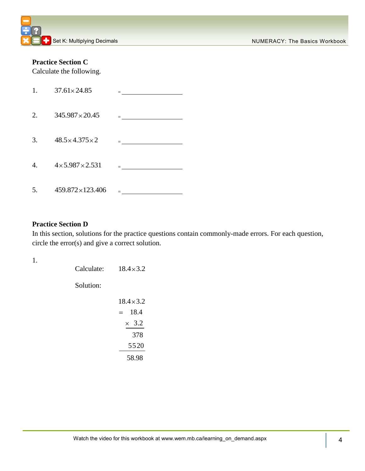## **Practice Section C**

Calculate the following.

| 1. | $37.61 \times 24.85$          | $\blacksquare$ . The contract of the contract of the contract of the contract of the contract of the contract of the contract of the contract of the contract of the contract of the contract of the contract of the contract of the |
|----|-------------------------------|--------------------------------------------------------------------------------------------------------------------------------------------------------------------------------------------------------------------------------------|
| 2. | $345.987 \times 20.45$        | material contracts and contracts are                                                                                                                                                                                                 |
| 3. | $48.5 \times 4.375 \times 2$  | 그는 아이들이 아이들이 아이들이 없었다.                                                                                                                                                                                                               |
| 4. | $4 \times 5.987 \times 2.531$ | $\equiv$ 100 km s and 100 km s and 100 km s $\sim$                                                                                                                                                                                   |
| 5. | $459.872\times123.406$        | $=$ $-$                                                                                                                                                                                                                              |

## **Practice Section D**

In this section, solutions for the practice questions contain commonly-made errors. For each question, circle the error(s) and give a correct solution.

1.

| Calculate: | $18.4 \times 3.2$ |
|------------|-------------------|
| Solution:  |                   |
|            | $18.4 \times 3.2$ |
|            | 18.4<br>$=$       |
|            | $\times$ 3.2      |
|            | 378               |
|            | 5520              |
|            | 58.98             |
|            |                   |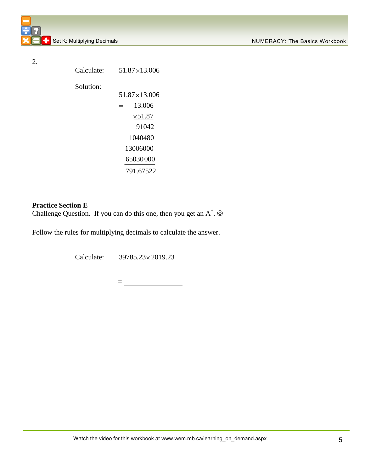2.

Calculate: 51.87×13.006 Solution:  $51.87\times 13.006$  $=$ 13.006  $\times 51.87$ 91042 1040480 13006000 65030000 791.67522

### **Practice Section E**

Challenge Question. If you can do this one, then you get an  $A^+$ .  $\odot$ 

Follow the rules for multiplying decimals to calculate the answer.

Calculate: 39785.23 2019.23

 $=$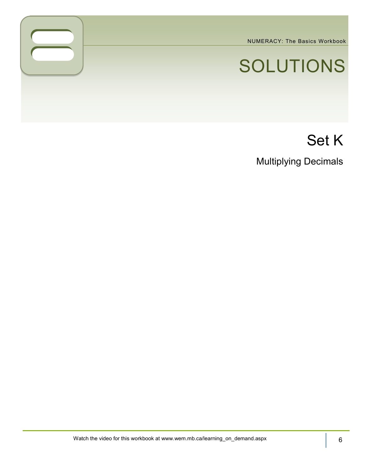NUMERACY: The Basics Workbook

# SOLUTIONS

## Set K

Multiplying Decimals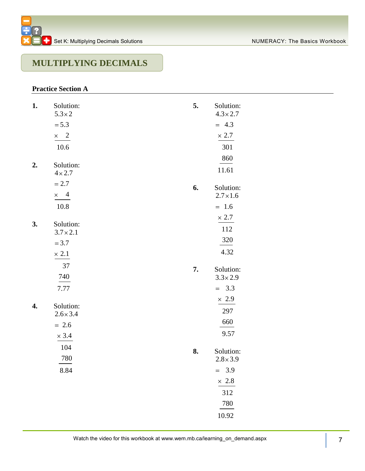## **MULTIPLYING DECIMALS**

## **Practice Section A**

| 1. | Solution:<br>$5.3 \times 2$   | 5. | Solution:<br>$4.3 \times 2.7$ |
|----|-------------------------------|----|-------------------------------|
|    | $= 5.3$                       |    | $= 4.3$                       |
|    | $\times$ 2                    |    | $\times$ 2.7                  |
|    | 10.6                          |    | 301                           |
|    |                               |    | 860                           |
| 2. | Solution:<br>$4 \times 2.7$   |    | 11.61                         |
|    | $= 2.7$                       |    |                               |
|    | $\overline{4}$<br>$\times$    | 6. | Solution:<br>$2.7 \times 1.6$ |
|    | 10.8                          |    | $= 1.6$                       |
|    |                               |    | $\times$ 2.7                  |
| 3. | Solution:<br>$3.7 \times 2.1$ |    | 112                           |
|    | $= 3.7$                       |    | 320                           |
|    | $\times$ 2.1                  |    | 4.32                          |
|    | 37                            |    |                               |
|    | 740                           | 7. | Solution:<br>$3.3\times2.9$   |
|    | 7.77                          |    | $= 3.3$                       |
|    |                               |    | $\times$ 2.9                  |
| 4. | Solution:<br>$2.6 \times 3.4$ |    | 297                           |
|    | $= 2.6$                       |    | 660                           |
|    | $\times$ 3.4                  |    | 9.57                          |
|    | 104                           |    |                               |
|    | 780                           | 8. | Solution:<br>$2.8 \times 3.9$ |
|    | 8.84                          |    | $= 3.9$                       |
|    |                               |    | $\times$ 2.8                  |
|    |                               |    | 312                           |
|    |                               |    | 780                           |
|    |                               |    | 10.92                         |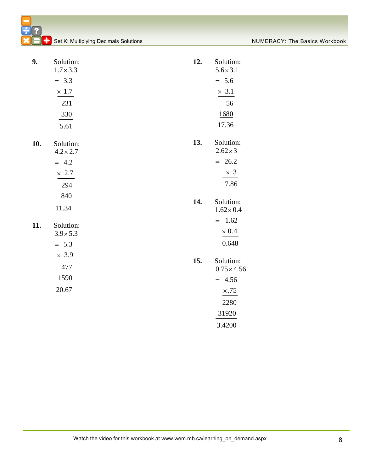| 9.  | Solution:<br>$1.7 \times 3.3$ | 12. | Solution:<br>$5.6 \times 3.1$   |
|-----|-------------------------------|-----|---------------------------------|
|     | $= 3.3$                       |     | $= 5.6$                         |
|     | $\times$ 1.7                  |     | $\times$ 3.1                    |
|     | 231                           |     | 56                              |
|     | 330                           |     | 1680                            |
|     | 5.61                          |     | 17.36                           |
| 10. | Solution:<br>$4.2 \times 2.7$ | 13. | Solution:<br>$2.62\times3$      |
|     | $= 4.2$                       |     | $= 26.2$                        |
|     | $\times$ 2.7                  |     | $\times$ 3                      |
|     | 294                           |     | 7.86                            |
|     | 840                           |     |                                 |
|     | 11.34                         | 14. | Solution:<br>$1.62\times0.4$    |
| 11. | Solution:                     |     | $= 1.62$                        |
|     | $3.9 \times 5.3$              |     | $\times$ 0.4                    |
|     | $= 5.3$                       |     | 0.648                           |
|     | $\times$ 3.9                  |     |                                 |
|     | 477                           | 15. | Solution:<br>$0.75 \times 4.56$ |
|     | 1590                          |     | $= 4.56$                        |
|     | 20.67                         |     | $\times.75$                     |
|     |                               |     | 2280                            |
|     |                               |     | 31920                           |
|     |                               |     | 3.4200                          |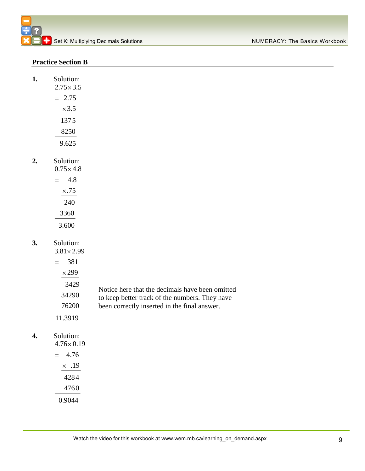## **Practice Section B**

**1.** 

|     | Solution:<br>$2.75 \times 3.5$ |  |
|-----|--------------------------------|--|
| $=$ | 2.75                           |  |
|     | $\times$ 3.5                   |  |
|     | 1375                           |  |
|     | 8250                           |  |
|     | 9.625                          |  |
|     |                                |  |

### **2.** Solution:  $0.75 \times 4.8$

| V. / J × 4. |
|-------------|
| 4.8         |
| $\times.75$ |
| 240         |
| 3360        |
| 3.600       |

## **3.** Solution:

 $3.81 \times 2.99$ 

| 381          |                                                 |
|--------------|-------------------------------------------------|
| $\times$ 299 |                                                 |
| 3429         | Notice here that the decimals have been omitted |
| 34290        | to keep better track of the numbers. They have  |
| 76200        | been correctly inserted in the final answer.    |
| 11.3919      |                                                 |

## **4.** Solution:

|  | $4.76 \times 0.19$ |  |
|--|--------------------|--|
|  | 4.76               |  |
|  | $\times$ .19       |  |
|  | 4284               |  |
|  | 4760               |  |
|  | 0.9044             |  |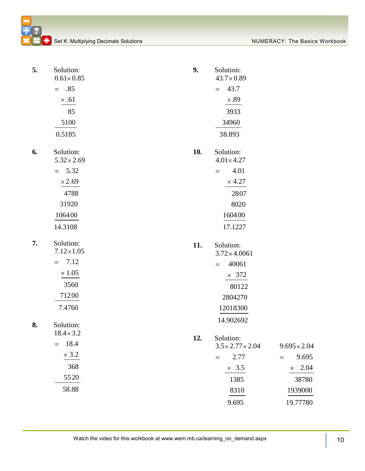**C** Set K: Multiplying Decimals Solutions NUMERACY: The Basics Workbook

| 5. | Solution:<br>$0.61 \times 0.85$  | 9.  | Solution:<br>$43.7 \times 0.89$   |                     |
|----|----------------------------------|-----|-----------------------------------|---------------------|
|    | .85<br>$=$                       |     | 43.7<br>$=$                       |                     |
|    | $\times .61$                     |     | $\times.89$                       |                     |
|    | 85                               |     | 3933                              |                     |
|    | 5100                             |     | 34960                             |                     |
|    | 0.5185                           |     | 38.893                            |                     |
| 6. | Solution:<br>$5.32 \times 2.69$  | 10. | Solution:<br>$4.01 \times 4.27$   |                     |
|    | 5.32<br>$=$                      |     | 4.01<br>$=$                       |                     |
|    | $\times 2.69$                    |     | $\times$ 4.27                     |                     |
|    | 4788                             |     | 2807                              |                     |
|    | 31920                            |     | 8020                              |                     |
|    | 106400                           |     | 160400                            |                     |
|    | 14.3108                          |     | 17.1227                           |                     |
| 7. | Solution:<br>$7.12 \times 1.05$  | 11. | Solution:<br>$3.72 \times 4.0061$ |                     |
|    | 7.12                             |     | 40061<br>$=$                      |                     |
|    | $=$                              |     |                                   |                     |
|    | $\times\,1.05$                   |     | $\times$ 372                      |                     |
|    | 3560                             |     | 80122                             |                     |
|    | 71200                            |     | 2804270                           |                     |
|    | 7.4760                           |     | 12018300                          |                     |
|    |                                  |     | 14.902692                         |                     |
| 8. | Solution:                        |     |                                   |                     |
|    | $18.4 \times 3.2$<br>18.4<br>$=$ | 12. | Solution:                         |                     |
|    | $\times$ 3.2                     |     | $3.5 \times 2.77 \times 2.04$     | $9.695 \times 2.04$ |
|    |                                  |     | 2.77<br>$=$                       | 9.695<br>$=$        |
|    | 368<br>5520                      |     | $\times$ 3.5                      | $\times$ 2.04       |
|    |                                  |     | 1385                              | 38780               |
|    | 58.88                            |     | 8310<br>9.695                     | 1939000<br>19.77780 |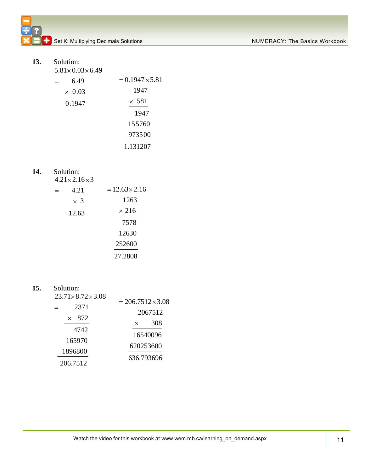**13.** Solution:

 $5.81 \times 0.03 \times 6.49$  $= 0.1947 \times 5.81$  $\equiv$ 6.49 1947  $\times$  0.03  $\times$  581 0.1947 1947 155760 973500 1.131207

## **14.** Solution:

 $4.21 \times 2.16 \times 3$ 

| 4.21       | $= 12.63 \times 2.16$ |
|------------|-----------------------|
| $\times$ 3 | 1263                  |
| 12.63      | $\times$ 216          |
|            | 7578                  |
|            | 12630                 |
|            | 252600                |
|            | 27.2808               |

**15.** Solution:

| $23.71 \times 8.72 \times 3.08$<br>2371 | $= 206.7512 \times 3.08$<br>2067512 |  |
|-----------------------------------------|-------------------------------------|--|
| 872<br>$\times$                         | 308<br>$\times$                     |  |
| 4742<br>165970                          | 16540096                            |  |
| 1896800                                 | 620253600                           |  |
| 206.7512                                | 636.793696                          |  |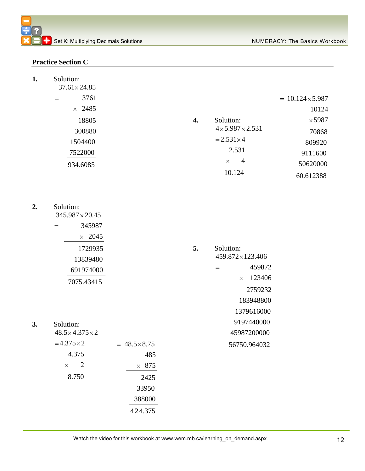## **Practice Section C**

| 1. | Solution:<br>$37.61 \times 24.85$   |                      |    |                               |                         |
|----|-------------------------------------|----------------------|----|-------------------------------|-------------------------|
|    | 3761<br>$=$                         |                      |    |                               | $= 10.124 \times 5.987$ |
|    | $\times$ 2485                       |                      |    |                               | 10124                   |
|    | 18805                               |                      | 4. | Solution:                     | $\times$ 5987           |
|    | 300880                              |                      |    | $4 \times 5.987 \times 2.531$ | 70868                   |
|    | 1504400                             |                      |    | $= 2.531 \times 4$            | 809920                  |
|    | 7522000                             |                      |    | 2.531                         | 9111600                 |
|    | 934.6085                            |                      |    | $\overline{4}$<br>$\times$    | 50620000                |
|    |                                     |                      |    | 10.124                        | 60.612388               |
|    |                                     |                      |    |                               |                         |
| 2. | Solution:<br>$345.987 \times 20.45$ |                      |    |                               |                         |
|    | 345987<br>$=$                       |                      |    |                               |                         |
|    | $\times$ 2045                       |                      |    |                               |                         |
|    | 1729935                             |                      | 5. | Solution:                     |                         |
|    | 13839480                            |                      |    | 459.872×123.406               |                         |
|    | 691974000                           |                      |    | 459872<br>$=$                 |                         |
|    | 7075.43415                          |                      |    | 123406<br>$\times$            |                         |
|    |                                     |                      |    | 2759232                       |                         |
|    |                                     |                      |    | 183948800                     |                         |
|    |                                     |                      |    | 1379616000                    |                         |
| 3. | Solution:                           |                      |    | 9197440000                    |                         |
|    | $48.5 \times 4.375 \times 2$        |                      |    | 45987200000                   |                         |
|    | $=4.375\times2$                     | $= 48.5 \times 8.75$ |    | 56750.964032                  |                         |
|    | 4.375                               | 485                  |    |                               |                         |
|    | $\overline{c}$<br>$\times$          | $\times$ 875         |    |                               |                         |
|    | 8.750                               | 2425                 |    |                               |                         |
|    |                                     | 33950                |    |                               |                         |
|    |                                     | 388000               |    |                               |                         |
|    |                                     | 424.375              |    |                               |                         |